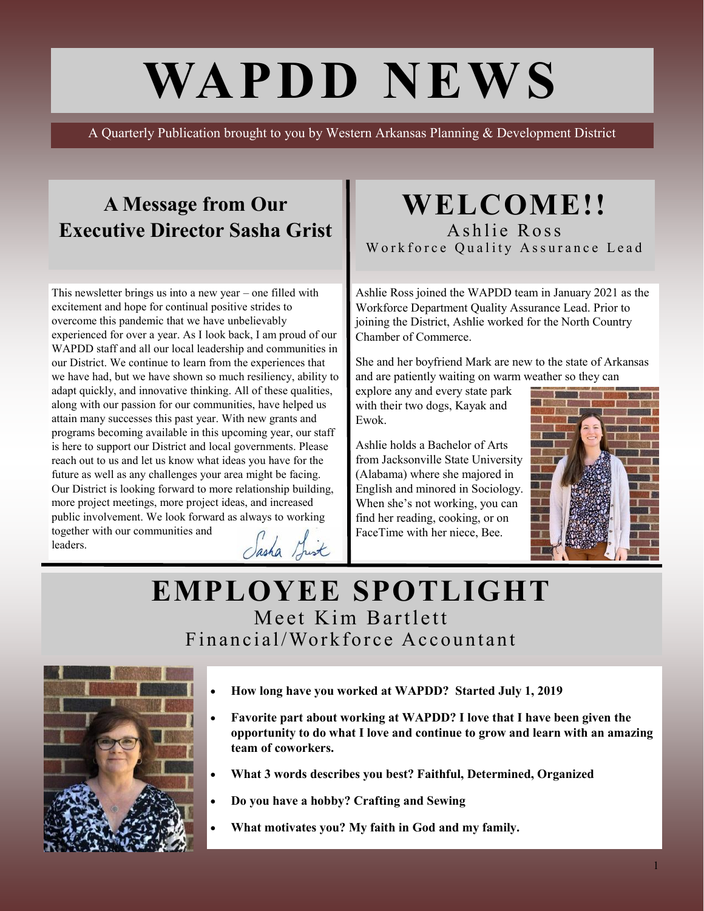# **WAPDD NEWS**

A Quarterly Publication brought to you by Western Arkansas Planning & Development District

### **A Message from Our Executive Director Sasha Grist**

This newsletter brings us into a new year – one filled with excitement and hope for continual positive strides to overcome this pandemic that we have unbelievably experienced for over a year. As I look back, I am proud of our WAPDD staff and all our local leadership and communities in our District. We continue to learn from the experiences that we have had, but we have shown so much resiliency, ability to adapt quickly, and innovative thinking. All of these qualities, along with our passion for our communities, have helped us attain many successes this past year. With new grants and programs becoming available in this upcoming year, our staff is here to support our District and local governments. Please reach out to us and let us know what ideas you have for the future as well as any challenges your area might be facing. Our District is looking forward to more relationship building, more project meetings, more project ideas, and increased public involvement. We look forward as always to working together with our communities and Sasha Shirt leaders.

#### **WELCOME!!** Ashlie Ross Workforce Quality Assurance Lead

Ashlie Ross joined the WAPDD team in January 2021 as the Workforce Department Quality Assurance Lead. Prior to joining the District, Ashlie worked for the North Country Chamber of Commerce.

She and her boyfriend Mark are new to the state of Arkansas and are patiently waiting on warm weather so they can

explore any and every state park with their two dogs, Kayak and Ewok.

Ashlie holds a Bachelor of Arts from Jacksonville State University (Alabama) where she majored in English and minored in Sociology. When she's not working, you can find her reading, cooking, or on FaceTime with her niece, Bee.



### **EMPLOYEE SPOTLIGHT** Meet Kim Bartlett Financial/Workforce Accountant



- **How long have you worked at WAPDD? Started July 1, 2019**
- **Favorite part about working at WAPDD? I love that I have been given the opportunity to do what I love and continue to grow and learn with an amazing team of coworkers.**
- **What 3 words describes you best? Faithful, Determined, Organized**
- **Do you have a hobby? Crafting and Sewing**
- **What motivates you? My faith in God and my family.**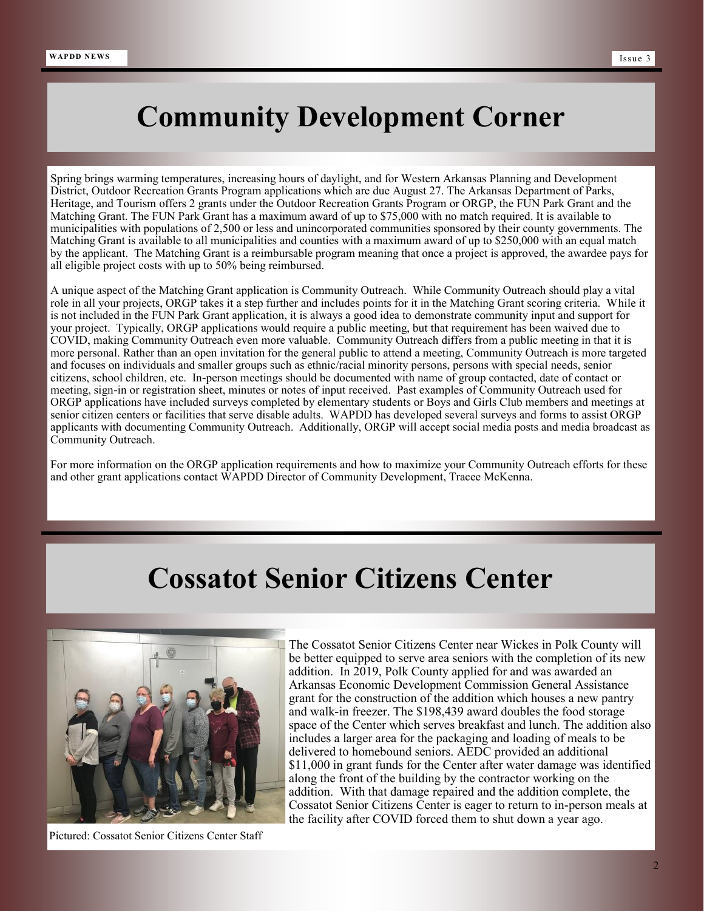### **Community Development Corner**

Spring brings warming temperatures, increasing hours of daylight, and for Western Arkansas Planning and Development District, Outdoor Recreation Grants Program applications which are due August 27. The Arkansas Department of Parks, Heritage, and Tourism offers 2 grants under the Outdoor Recreation Grants Program or ORGP, the FUN Park Grant and the Matching Grant. The FUN Park Grant has a maximum award of up to \$75,000 with no match required. It is available to municipalities with populations of 2,500 or less and unincorporated communities sponsored by their county governments. The Matching Grant is available to all municipalities and counties with a maximum award of up to \$250,000 with an equal match by the applicant. The Matching Grant is a reimbursable program meaning that once a project is approved, the awardee pays for all eligible project costs with up to 50% being reimbursed.

A unique aspect of the Matching Grant application is Community Outreach. While Community Outreach should play a vital role in all your projects, ORGP takes it a step further and includes points for it in the Matching Grant scoring criteria. While it is not included in the FUN Park Grant application, it is always a good idea to demonstrate community input and support for your project. Typically, ORGP applications would require a public meeting, but that requirement has been waived due to COVID, making Community Outreach even more valuable. Community Outreach differs from a public meeting in that it is more personal. Rather than an open invitation for the general public to attend a meeting, Community Outreach is more targeted and focuses on individuals and smaller groups such as ethnic/racial minority persons, persons with special needs, senior citizens, school children, etc. In-person meetings should be documented with name of group contacted, date of contact or meeting, sign-in or registration sheet, minutes or notes of input received. Past examples of Community Outreach used for ORGP applications have included surveys completed by elementary students or Boys and Girls Club members and meetings at senior citizen centers or facilities that serve disable adults. WAPDD has developed several surveys and forms to assist ORGP applicants with documenting Community Outreach. Additionally, ORGP will accept social media posts and media broadcast as Community Outreach.

For more information on the ORGP application requirements and how to maximize your Community Outreach efforts for these and other grant applications contact WAPDD Director of Community Development, Tracee McKenna.

### **Cossatot Senior Citizens Center**



Pictured: Cossatot Senior Citizens Center Staff

The Cossatot Senior Citizens Center near Wickes in Polk County will be better equipped to serve area seniors with the completion of its new addition. In 2019, Polk County applied for and was awarded an Arkansas Economic Development Commission General Assistance grant for the construction of the addition which houses a new pantry and walk-in freezer. The \$198,439 award doubles the food storage space of the Center which serves breakfast and lunch. The addition also includes a larger area for the packaging and loading of meals to be delivered to homebound seniors. AEDC provided an additional \$11,000 in grant funds for the Center after water damage was identified along the front of the building by the contractor working on the addition. With that damage repaired and the addition complete, the Cossatot Senior Citizens Center is eager to return to in-person meals at the facility after COVID forced them to shut down a year ago.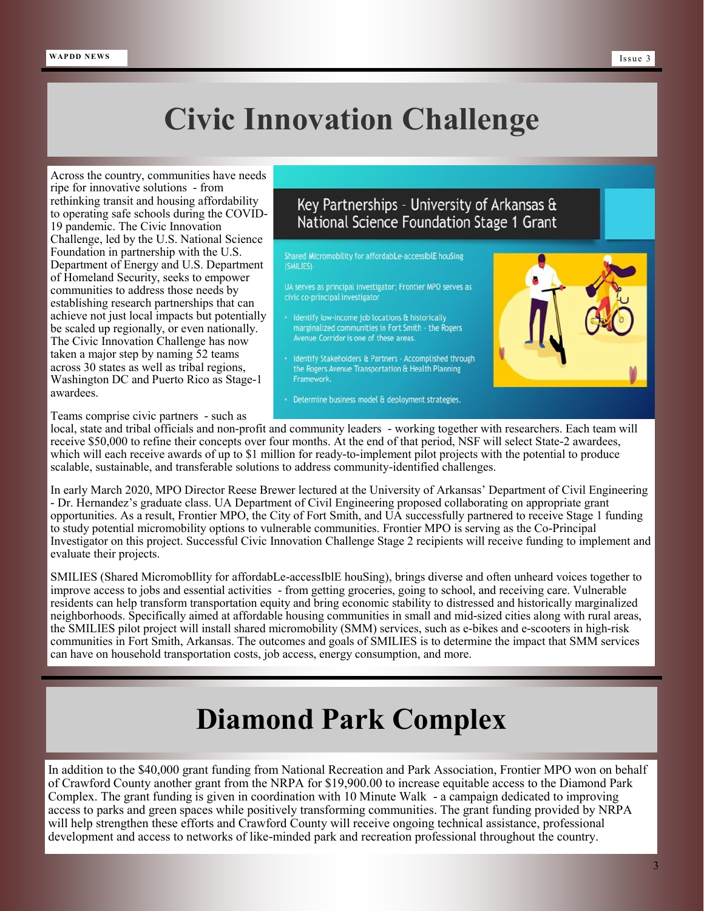## **Civic Innovation Challenge**

Across the country, communities have needs ripe for innovative solutions - from rethinking transit and housing affordability to operating safe schools during the COVID-19 pandemic. The Civic Innovation Challenge, led by the U.S. National Science Foundation in partnership with the U.S. Department of Energy and U.S. Department of Homeland Security, seeks to empower communities to address those needs by establishing research partnerships that can achieve not just local impacts but potentially be scaled up regionally, or even nationally. The Civic Innovation Challenge has now taken a major step by naming 52 teams across 30 states as well as tribal regions, Washington DC and Puerto Rico as Stage-1 awardees.

#### Key Partnerships - University of Arkansas & National Science Foundation Stage 1 Grant

Shared Micromobility for affordabLe-accessiblE houSing (SMILIES)

UA serves as principal investigator; Frontier MPO serves as civic co-principal investigator

• Identify low-income job locations & historically<br>marginalized communities in Fort Smith - the Rogers Avenue Corridor is one of these areas.

Identify Stakeholders & Partners - Accomplished through the Rogers Avenue Transportation & Health Planning Framework.

• Determine business model & deployment strategies.



Teams comprise civic partners - such as

local, state and tribal officials and non-profit and community leaders - working together with researchers. Each team will receive \$50,000 to refine their concepts over four months. At the end of that period, NSF will select State-2 awardees, which will each receive awards of up to \$1 million for ready-to-implement pilot projects with the potential to produce scalable, sustainable, and transferable solutions to address community-identified challenges.

In early March 2020, MPO Director Reese Brewer lectured at the University of Arkansas' Department of Civil Engineering - Dr. Hernandez's graduate class. UA Department of Civil Engineering proposed collaborating on appropriate grant opportunities. As a result, Frontier MPO, the City of Fort Smith, and UA successfully partnered to receive Stage 1 funding to study potential micromobility options to vulnerable communities. Frontier MPO is serving as the Co-Principal Investigator on this project. Successful Civic Innovation Challenge Stage 2 recipients will receive funding to implement and evaluate their projects.

SMILIES (Shared MicromobIlity for affordabLe-accessIblE houSing), brings diverse and often unheard voices together to improve access to jobs and essential activities - from getting groceries, going to school, and receiving care. Vulnerable residents can help transform transportation equity and bring economic stability to distressed and historically marginalized neighborhoods. Specifically aimed at affordable housing communities in small and mid-sized cities along with rural areas, the SMILIES pilot project will install shared micromobility (SMM) services, such as e-bikes and e-scooters in high-risk communities in Fort Smith, Arkansas. The outcomes and goals of SMILIES is to determine the impact that SMM services can have on household transportation costs, job access, energy consumption, and more.

### **Diamond Park Complex**

In addition to the \$40,000 grant funding from National Recreation and Park Association, Frontier MPO won on behalf of Crawford County another grant from the NRPA for \$19,900.00 to increase equitable access to the Diamond Park Complex. The grant funding is given in coordination with 10 Minute Walk - a campaign dedicated to improving access to parks and green spaces while positively transforming communities. The grant funding provided by NRPA will help strengthen these efforts and Crawford County will receive ongoing technical assistance, professional development and access to networks of like-minded park and recreation professional throughout the country.